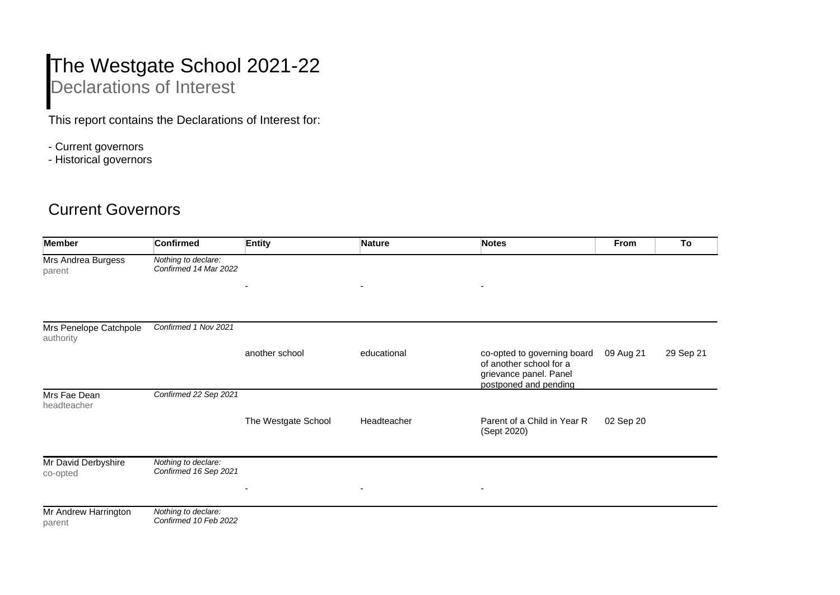## The Westgate School 2021-22 Declarations of Interest

This report contains the Declarations of Interest for:

- Current governors
- Historical governors

## Current Governors

| <b>Member</b>                       | <b>Confirmed</b>                             | <b>Entity</b>            | <b>Nature</b>            | <b>Notes</b>                                                                                              | From      | To        |
|-------------------------------------|----------------------------------------------|--------------------------|--------------------------|-----------------------------------------------------------------------------------------------------------|-----------|-----------|
| Mrs Andrea Burgess<br>parent        | Nothing to declare:<br>Confirmed 14 Mar 2022 |                          |                          |                                                                                                           |           |           |
|                                     |                                              | $\overline{\phantom{a}}$ | $\overline{\phantom{a}}$ | $\overline{\phantom{a}}$                                                                                  |           |           |
| Mrs Penelope Catchpole<br>authority | Confirmed 1 Nov 2021                         |                          |                          |                                                                                                           |           |           |
|                                     |                                              | another school           | educational              | co-opted to governing board<br>of another school for a<br>grievance panel. Panel<br>postponed and pending | 09 Aug 21 | 29 Sep 21 |
| Mrs Fae Dean<br>headteacher         | Confirmed 22 Sep 2021                        |                          |                          |                                                                                                           |           |           |
|                                     |                                              | The Westgate School      | Headteacher              | Parent of a Child in Year R<br>(Sept 2020)                                                                | 02 Sep 20 |           |
| Mr David Derbyshire<br>co-opted     | Nothing to declare:<br>Confirmed 16 Sep 2021 | $\overline{\phantom{a}}$ | $\overline{\phantom{a}}$ | $\overline{\phantom{a}}$                                                                                  |           |           |
| Mr Andrew Harrington<br>parent      | Nothing to declare:<br>Confirmed 10 Feb 2022 |                          |                          |                                                                                                           |           |           |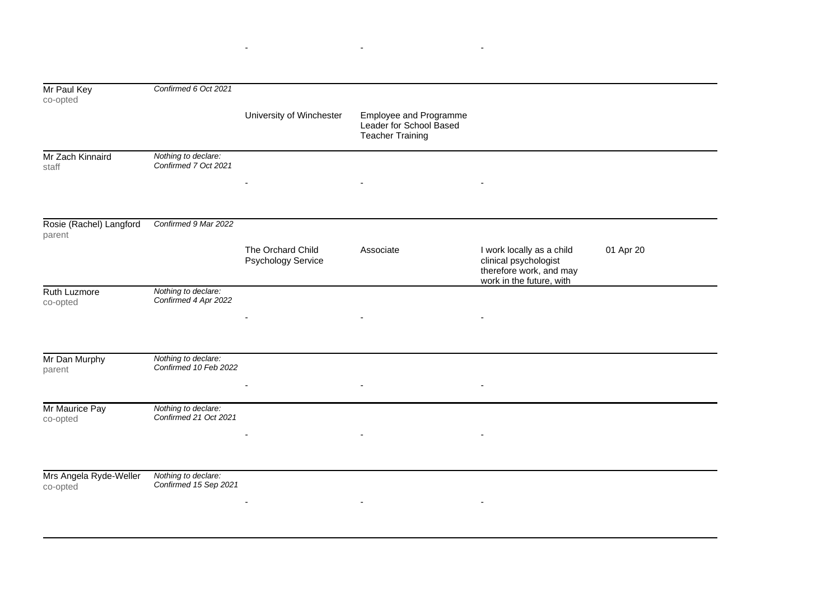|                                              |                                                                              | Confirmed 6 Oct 2021                                                          |                          |  |  |  |
|----------------------------------------------|------------------------------------------------------------------------------|-------------------------------------------------------------------------------|--------------------------|--|--|--|
| University of Winchester                     | Employee and Programme<br>Leader for School Based<br><b>Teacher Training</b> |                                                                               |                          |  |  |  |
| Nothing to declare:<br>Confirmed 7 Oct 2021  |                                                                              |                                                                               |                          |  |  |  |
| Confirmed 9 Mar 2022                         |                                                                              |                                                                               |                          |  |  |  |
| The Orchard Child<br>Psychology Service      | Associate                                                                    | I work locally as a child<br>clinical psychologist<br>therefore work, and may | 01 Apr 20                |  |  |  |
| Nothing to declare:<br>Confirmed 4 Apr 2022  |                                                                              |                                                                               |                          |  |  |  |
| Nothing to declare:<br>Confirmed 10 Feb 2022 | $\overline{\phantom{a}}$                                                     | $\overline{\phantom{a}}$                                                      |                          |  |  |  |
| Nothing to declare:<br>Confirmed 21 Oct 2021 |                                                                              |                                                                               |                          |  |  |  |
| Nothing to declare:<br>Confirmed 15 Sep 2021 |                                                                              |                                                                               |                          |  |  |  |
|                                              |                                                                              |                                                                               | work in the future, with |  |  |  |

- - -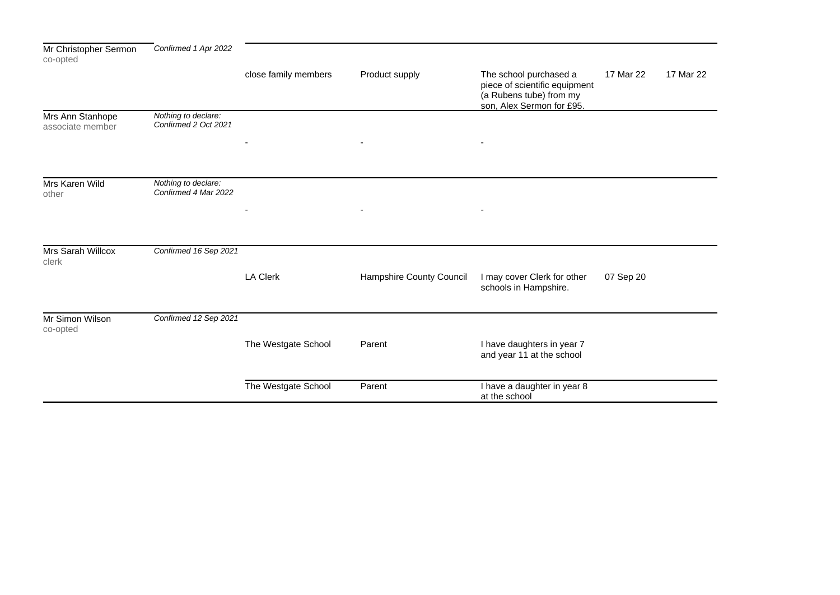| Mr Christopher Sermon<br>co-opted    | Confirmed 1 Apr 2022                        |                      |                          |                                                                                                                 |           |           |
|--------------------------------------|---------------------------------------------|----------------------|--------------------------|-----------------------------------------------------------------------------------------------------------------|-----------|-----------|
|                                      |                                             | close family members | Product supply           | The school purchased a<br>piece of scientific equipment<br>(a Rubens tube) from my<br>son, Alex Sermon for £95. | 17 Mar 22 | 17 Mar 22 |
| Mrs Ann Stanhope<br>associate member | Nothing to declare:<br>Confirmed 2 Oct 2021 |                      |                          |                                                                                                                 |           |           |
|                                      |                                             |                      |                          |                                                                                                                 |           |           |
| Mrs Karen Wild<br>other              | Nothing to declare:<br>Confirmed 4 Mar 2022 |                      |                          |                                                                                                                 |           |           |
|                                      |                                             |                      |                          |                                                                                                                 |           |           |
| Mrs Sarah Willcox<br>clerk           | Confirmed 16 Sep 2021                       |                      |                          |                                                                                                                 |           |           |
|                                      |                                             | <b>LA Clerk</b>      | Hampshire County Council | I may cover Clerk for other<br>schools in Hampshire.                                                            | 07 Sep 20 |           |
| Mr Simon Wilson<br>co-opted          | Confirmed 12 Sep 2021                       |                      |                          |                                                                                                                 |           |           |
|                                      |                                             | The Westgate School  | Parent                   | I have daughters in year 7<br>and year 11 at the school                                                         |           |           |
|                                      |                                             | The Westgate School  | Parent                   | I have a daughter in year 8<br>at the school                                                                    |           |           |